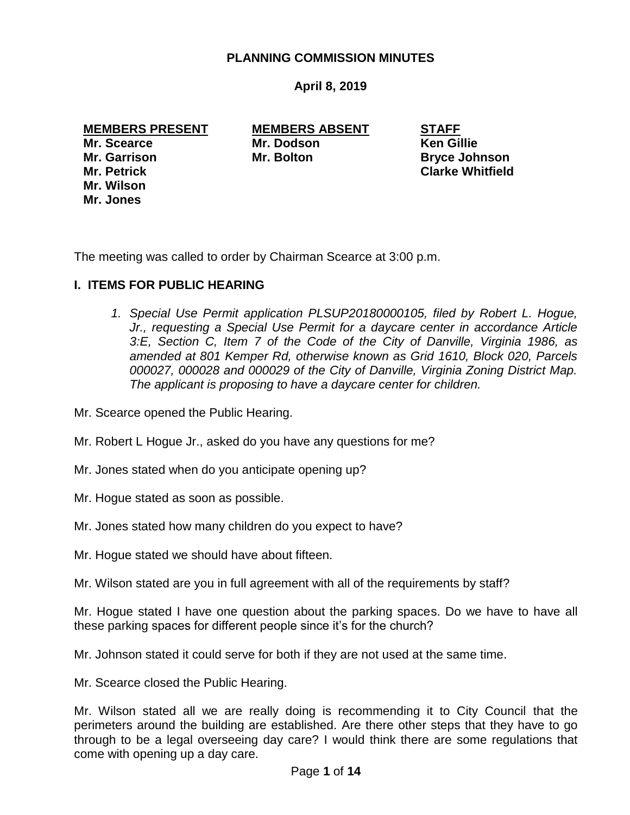### **PLANNING COMMISSION MINUTES**

# **April 8, 2019**

#### **MEMBERS PRESENT MEMBERS ABSENT STAFF**

**Mr. Wilson Mr. Jones**

**Mr. Scearce Mr. Dodson Ken Gillie Mr. Garrison Mr. Bolton Bryce Johnson**

**Mr. Petrick Clarke Whitfield**

The meeting was called to order by Chairman Scearce at 3:00 p.m.

## **I. ITEMS FOR PUBLIC HEARING**

1. *Special Use Permit application PLSUP20180000105, filed by Robert L. Hogue, Jr., requesting a Special Use Permit for a daycare center in accordance Article 3:E, Section C, Item 7 of the Code of the City of Danville, Virginia 1986, as amended at 801 Kemper Rd, otherwise known as Grid 1610, Block 020, Parcels 000027, 000028 and 000029 of the City of Danville, Virginia Zoning District Map. The applicant is proposing to have a daycare center for children.*

Mr. Scearce opened the Public Hearing.

Mr. Robert L Hogue Jr., asked do you have any questions for me?

- Mr. Jones stated when do you anticipate opening up?
- Mr. Hogue stated as soon as possible.
- Mr. Jones stated how many children do you expect to have?
- Mr. Hogue stated we should have about fifteen.

Mr. Wilson stated are you in full agreement with all of the requirements by staff?

Mr. Hogue stated I have one question about the parking spaces. Do we have to have all these parking spaces for different people since it's for the church?

Mr. Johnson stated it could serve for both if they are not used at the same time.

Mr. Scearce closed the Public Hearing.

Mr. Wilson stated all we are really doing is recommending it to City Council that the perimeters around the building are established. Are there other steps that they have to go through to be a legal overseeing day care? I would think there are some regulations that come with opening up a day care.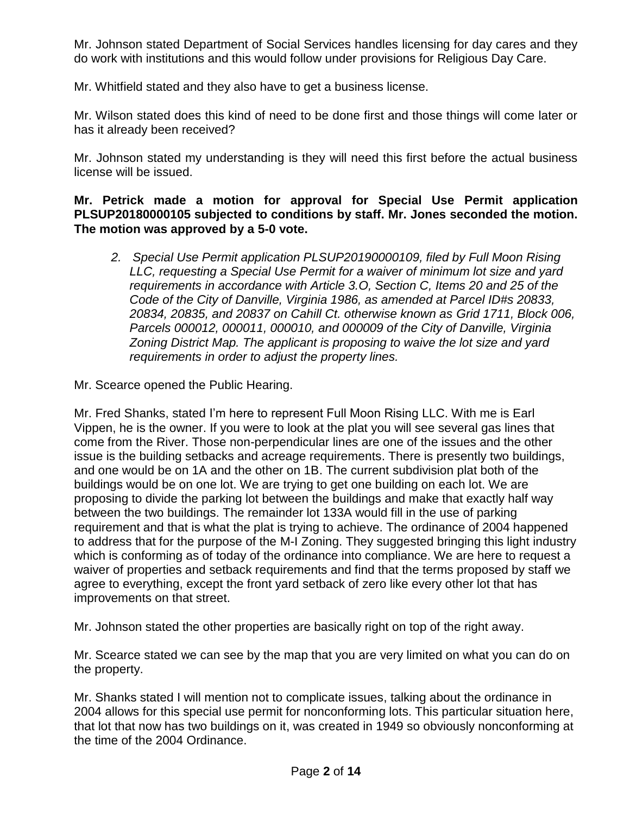Mr. Johnson stated Department of Social Services handles licensing for day cares and they do work with institutions and this would follow under provisions for Religious Day Care.

Mr. Whitfield stated and they also have to get a business license.

Mr. Wilson stated does this kind of need to be done first and those things will come later or has it already been received?

Mr. Johnson stated my understanding is they will need this first before the actual business license will be issued.

### **Mr. Petrick made a motion for approval for Special Use Permit application PLSUP20180000105 subjected to conditions by staff. Mr. Jones seconded the motion. The motion was approved by a 5-0 vote.**

*2. Special Use Permit application PLSUP20190000109, filed by Full Moon Rising LLC, requesting a Special Use Permit for a waiver of minimum lot size and yard requirements in accordance with Article 3.O, Section C, Items 20 and 25 of the Code of the City of Danville, Virginia 1986, as amended at Parcel ID#s 20833, 20834, 20835, and 20837 on Cahill Ct. otherwise known as Grid 1711, Block 006, Parcels 000012, 000011, 000010, and 000009 of the City of Danville, Virginia Zoning District Map. The applicant is proposing to waive the lot size and yard requirements in order to adjust the property lines.*

Mr. Scearce opened the Public Hearing.

Mr. Fred Shanks, stated I'm here to represent Full Moon Rising LLC. With me is Earl Vippen, he is the owner. If you were to look at the plat you will see several gas lines that come from the River. Those non-perpendicular lines are one of the issues and the other issue is the building setbacks and acreage requirements. There is presently two buildings, and one would be on 1A and the other on 1B. The current subdivision plat both of the buildings would be on one lot. We are trying to get one building on each lot. We are proposing to divide the parking lot between the buildings and make that exactly half way between the two buildings. The remainder lot 133A would fill in the use of parking requirement and that is what the plat is trying to achieve. The ordinance of 2004 happened to address that for the purpose of the M-I Zoning. They suggested bringing this light industry which is conforming as of today of the ordinance into compliance. We are here to request a waiver of properties and setback requirements and find that the terms proposed by staff we agree to everything, except the front yard setback of zero like every other lot that has improvements on that street.

Mr. Johnson stated the other properties are basically right on top of the right away.

Mr. Scearce stated we can see by the map that you are very limited on what you can do on the property.

Mr. Shanks stated I will mention not to complicate issues, talking about the ordinance in 2004 allows for this special use permit for nonconforming lots. This particular situation here, that lot that now has two buildings on it, was created in 1949 so obviously nonconforming at the time of the 2004 Ordinance.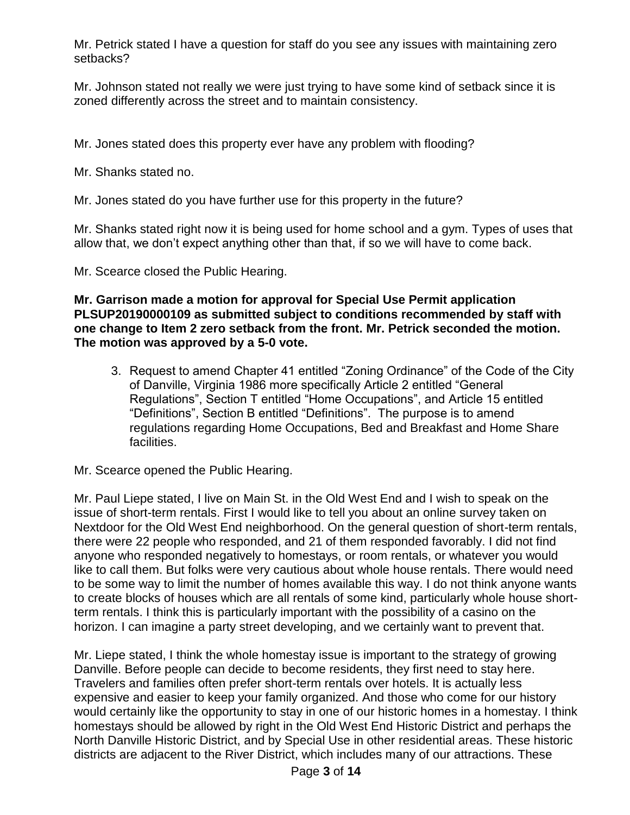Mr. Petrick stated I have a question for staff do you see any issues with maintaining zero setbacks?

Mr. Johnson stated not really we were just trying to have some kind of setback since it is zoned differently across the street and to maintain consistency.

Mr. Jones stated does this property ever have any problem with flooding?

Mr. Shanks stated no.

Mr. Jones stated do you have further use for this property in the future?

Mr. Shanks stated right now it is being used for home school and a gym. Types of uses that allow that, we don't expect anything other than that, if so we will have to come back.

Mr. Scearce closed the Public Hearing.

**Mr. Garrison made a motion for approval for Special Use Permit application PLSUP20190000109 as submitted subject to conditions recommended by staff with one change to Item 2 zero setback from the front. Mr. Petrick seconded the motion. The motion was approved by a 5-0 vote.** 

3. Request to amend Chapter 41 entitled "Zoning Ordinance" of the Code of the City of Danville, Virginia 1986 more specifically Article 2 entitled "General Regulations", Section T entitled "Home Occupations", and Article 15 entitled "Definitions", Section B entitled "Definitions". The purpose is to amend regulations regarding Home Occupations, Bed and Breakfast and Home Share facilities.

Mr. Scearce opened the Public Hearing.

Mr. Paul Liepe stated, I live on Main St. in the Old West End and I wish to speak on the issue of short-term rentals. First I would like to tell you about an online survey taken on Nextdoor for the Old West End neighborhood. On the general question of short-term rentals, there were 22 people who responded, and 21 of them responded favorably. I did not find anyone who responded negatively to homestays, or room rentals, or whatever you would like to call them. But folks were very cautious about whole house rentals. There would need to be some way to limit the number of homes available this way. I do not think anyone wants to create blocks of houses which are all rentals of some kind, particularly whole house shortterm rentals. I think this is particularly important with the possibility of a casino on the horizon. I can imagine a party street developing, and we certainly want to prevent that.

Mr. Liepe stated, I think the whole homestay issue is important to the strategy of growing Danville. Before people can decide to become residents, they first need to stay here. Travelers and families often prefer short-term rentals over hotels. It is actually less expensive and easier to keep your family organized. And those who come for our history would certainly like the opportunity to stay in one of our historic homes in a homestay. I think homestays should be allowed by right in the Old West End Historic District and perhaps the North Danville Historic District, and by Special Use in other residential areas. These historic districts are adjacent to the River District, which includes many of our attractions. These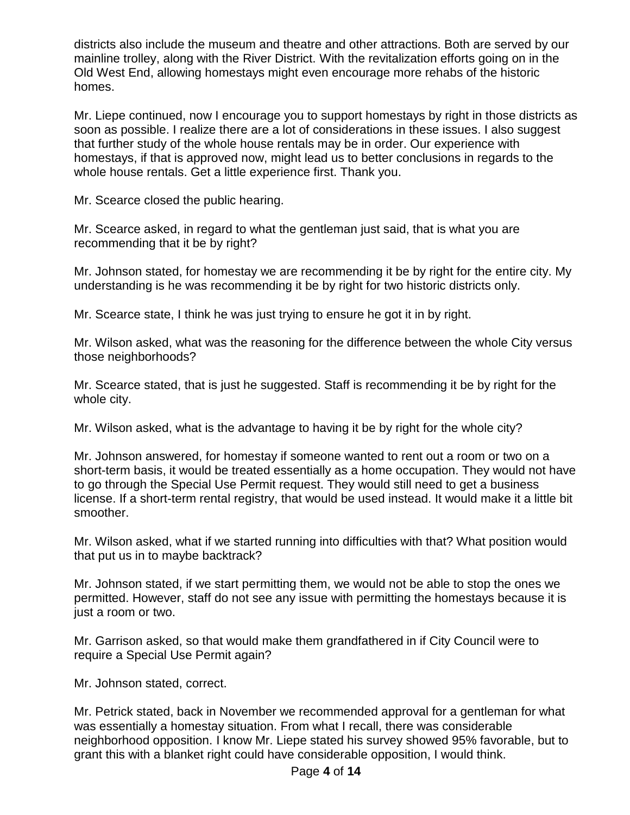districts also include the museum and theatre and other attractions. Both are served by our mainline trolley, along with the River District. With the revitalization efforts going on in the Old West End, allowing homestays might even encourage more rehabs of the historic homes.

Mr. Liepe continued, now I encourage you to support homestays by right in those districts as soon as possible. I realize there are a lot of considerations in these issues. I also suggest that further study of the whole house rentals may be in order. Our experience with homestays, if that is approved now, might lead us to better conclusions in regards to the whole house rentals. Get a little experience first. Thank you.

Mr. Scearce closed the public hearing.

Mr. Scearce asked, in regard to what the gentleman just said, that is what you are recommending that it be by right?

Mr. Johnson stated, for homestay we are recommending it be by right for the entire city. My understanding is he was recommending it be by right for two historic districts only.

Mr. Scearce state, I think he was just trying to ensure he got it in by right.

Mr. Wilson asked, what was the reasoning for the difference between the whole City versus those neighborhoods?

Mr. Scearce stated, that is just he suggested. Staff is recommending it be by right for the whole city.

Mr. Wilson asked, what is the advantage to having it be by right for the whole city?

Mr. Johnson answered, for homestay if someone wanted to rent out a room or two on a short-term basis, it would be treated essentially as a home occupation. They would not have to go through the Special Use Permit request. They would still need to get a business license. If a short-term rental registry, that would be used instead. It would make it a little bit smoother.

Mr. Wilson asked, what if we started running into difficulties with that? What position would that put us in to maybe backtrack?

Mr. Johnson stated, if we start permitting them, we would not be able to stop the ones we permitted. However, staff do not see any issue with permitting the homestays because it is just a room or two.

Mr. Garrison asked, so that would make them grandfathered in if City Council were to require a Special Use Permit again?

Mr. Johnson stated, correct.

Mr. Petrick stated, back in November we recommended approval for a gentleman for what was essentially a homestay situation. From what I recall, there was considerable neighborhood opposition. I know Mr. Liepe stated his survey showed 95% favorable, but to grant this with a blanket right could have considerable opposition, I would think.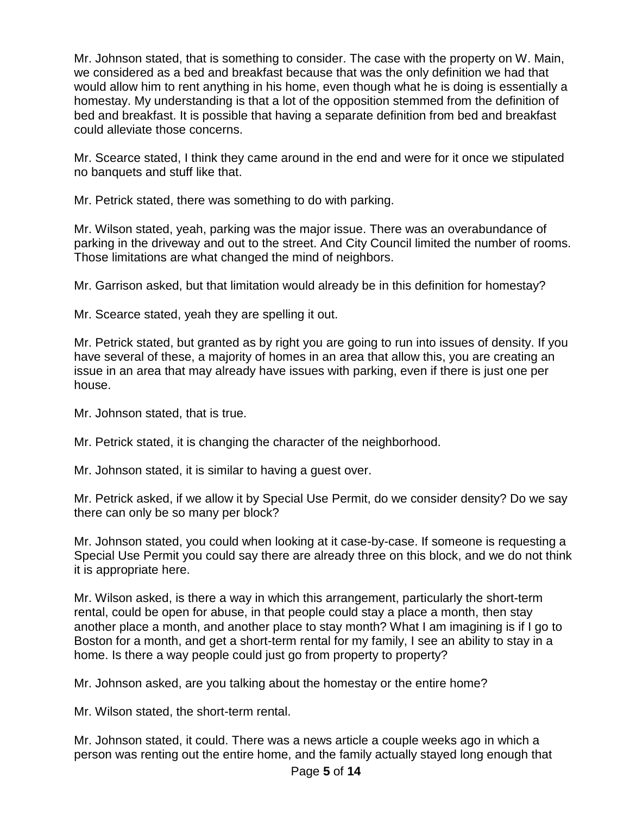Mr. Johnson stated, that is something to consider. The case with the property on W. Main, we considered as a bed and breakfast because that was the only definition we had that would allow him to rent anything in his home, even though what he is doing is essentially a homestay. My understanding is that a lot of the opposition stemmed from the definition of bed and breakfast. It is possible that having a separate definition from bed and breakfast could alleviate those concerns.

Mr. Scearce stated, I think they came around in the end and were for it once we stipulated no banquets and stuff like that.

Mr. Petrick stated, there was something to do with parking.

Mr. Wilson stated, yeah, parking was the major issue. There was an overabundance of parking in the driveway and out to the street. And City Council limited the number of rooms. Those limitations are what changed the mind of neighbors.

Mr. Garrison asked, but that limitation would already be in this definition for homestay?

Mr. Scearce stated, yeah they are spelling it out.

Mr. Petrick stated, but granted as by right you are going to run into issues of density. If you have several of these, a majority of homes in an area that allow this, you are creating an issue in an area that may already have issues with parking, even if there is just one per house.

Mr. Johnson stated, that is true.

Mr. Petrick stated, it is changing the character of the neighborhood.

Mr. Johnson stated, it is similar to having a guest over.

Mr. Petrick asked, if we allow it by Special Use Permit, do we consider density? Do we say there can only be so many per block?

Mr. Johnson stated, you could when looking at it case-by-case. If someone is requesting a Special Use Permit you could say there are already three on this block, and we do not think it is appropriate here.

Mr. Wilson asked, is there a way in which this arrangement, particularly the short-term rental, could be open for abuse, in that people could stay a place a month, then stay another place a month, and another place to stay month? What I am imagining is if I go to Boston for a month, and get a short-term rental for my family, I see an ability to stay in a home. Is there a way people could just go from property to property?

Mr. Johnson asked, are you talking about the homestay or the entire home?

Mr. Wilson stated, the short-term rental.

Mr. Johnson stated, it could. There was a news article a couple weeks ago in which a person was renting out the entire home, and the family actually stayed long enough that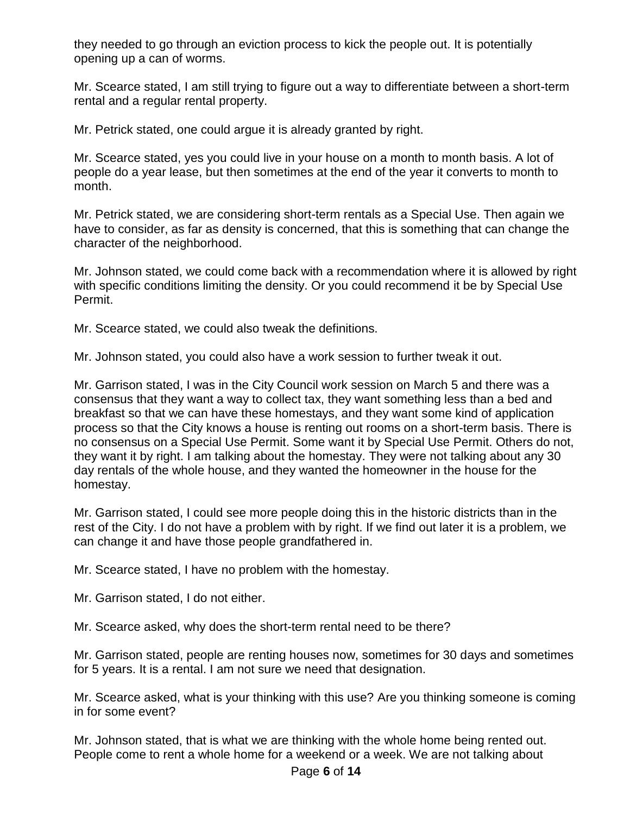they needed to go through an eviction process to kick the people out. It is potentially opening up a can of worms.

Mr. Scearce stated, I am still trying to figure out a way to differentiate between a short-term rental and a regular rental property.

Mr. Petrick stated, one could argue it is already granted by right.

Mr. Scearce stated, yes you could live in your house on a month to month basis. A lot of people do a year lease, but then sometimes at the end of the year it converts to month to month.

Mr. Petrick stated, we are considering short-term rentals as a Special Use. Then again we have to consider, as far as density is concerned, that this is something that can change the character of the neighborhood.

Mr. Johnson stated, we could come back with a recommendation where it is allowed by right with specific conditions limiting the density. Or you could recommend it be by Special Use Permit.

Mr. Scearce stated, we could also tweak the definitions.

Mr. Johnson stated, you could also have a work session to further tweak it out.

Mr. Garrison stated, I was in the City Council work session on March 5 and there was a consensus that they want a way to collect tax, they want something less than a bed and breakfast so that we can have these homestays, and they want some kind of application process so that the City knows a house is renting out rooms on a short-term basis. There is no consensus on a Special Use Permit. Some want it by Special Use Permit. Others do not, they want it by right. I am talking about the homestay. They were not talking about any 30 day rentals of the whole house, and they wanted the homeowner in the house for the homestay.

Mr. Garrison stated, I could see more people doing this in the historic districts than in the rest of the City. I do not have a problem with by right. If we find out later it is a problem, we can change it and have those people grandfathered in.

Mr. Scearce stated, I have no problem with the homestay.

Mr. Garrison stated, I do not either.

Mr. Scearce asked, why does the short-term rental need to be there?

Mr. Garrison stated, people are renting houses now, sometimes for 30 days and sometimes for 5 years. It is a rental. I am not sure we need that designation.

Mr. Scearce asked, what is your thinking with this use? Are you thinking someone is coming in for some event?

Mr. Johnson stated, that is what we are thinking with the whole home being rented out. People come to rent a whole home for a weekend or a week. We are not talking about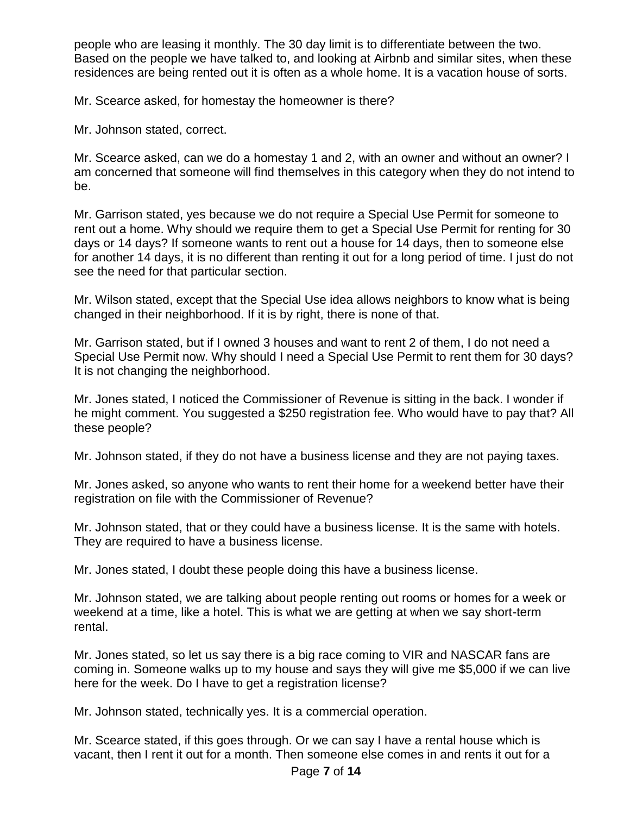people who are leasing it monthly. The 30 day limit is to differentiate between the two. Based on the people we have talked to, and looking at Airbnb and similar sites, when these residences are being rented out it is often as a whole home. It is a vacation house of sorts.

Mr. Scearce asked, for homestay the homeowner is there?

Mr. Johnson stated, correct.

Mr. Scearce asked, can we do a homestay 1 and 2, with an owner and without an owner? I am concerned that someone will find themselves in this category when they do not intend to be.

Mr. Garrison stated, yes because we do not require a Special Use Permit for someone to rent out a home. Why should we require them to get a Special Use Permit for renting for 30 days or 14 days? If someone wants to rent out a house for 14 days, then to someone else for another 14 days, it is no different than renting it out for a long period of time. I just do not see the need for that particular section.

Mr. Wilson stated, except that the Special Use idea allows neighbors to know what is being changed in their neighborhood. If it is by right, there is none of that.

Mr. Garrison stated, but if I owned 3 houses and want to rent 2 of them, I do not need a Special Use Permit now. Why should I need a Special Use Permit to rent them for 30 days? It is not changing the neighborhood.

Mr. Jones stated, I noticed the Commissioner of Revenue is sitting in the back. I wonder if he might comment. You suggested a \$250 registration fee. Who would have to pay that? All these people?

Mr. Johnson stated, if they do not have a business license and they are not paying taxes.

Mr. Jones asked, so anyone who wants to rent their home for a weekend better have their registration on file with the Commissioner of Revenue?

Mr. Johnson stated, that or they could have a business license. It is the same with hotels. They are required to have a business license.

Mr. Jones stated, I doubt these people doing this have a business license.

Mr. Johnson stated, we are talking about people renting out rooms or homes for a week or weekend at a time, like a hotel. This is what we are getting at when we say short-term rental.

Mr. Jones stated, so let us say there is a big race coming to VIR and NASCAR fans are coming in. Someone walks up to my house and says they will give me \$5,000 if we can live here for the week. Do I have to get a registration license?

Mr. Johnson stated, technically yes. It is a commercial operation.

Mr. Scearce stated, if this goes through. Or we can say I have a rental house which is vacant, then I rent it out for a month. Then someone else comes in and rents it out for a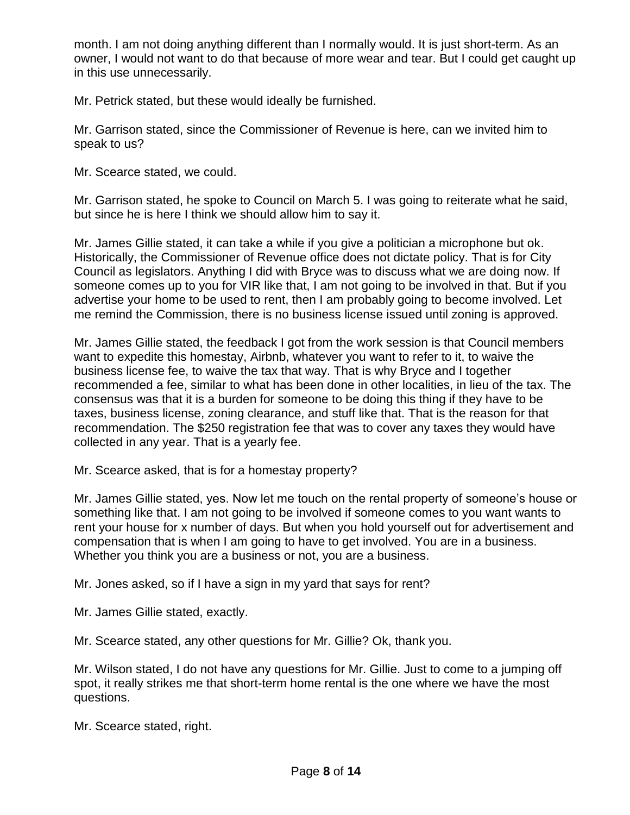month. I am not doing anything different than I normally would. It is just short-term. As an owner, I would not want to do that because of more wear and tear. But I could get caught up in this use unnecessarily.

Mr. Petrick stated, but these would ideally be furnished.

Mr. Garrison stated, since the Commissioner of Revenue is here, can we invited him to speak to us?

Mr. Scearce stated, we could.

Mr. Garrison stated, he spoke to Council on March 5. I was going to reiterate what he said, but since he is here I think we should allow him to say it.

Mr. James Gillie stated, it can take a while if you give a politician a microphone but ok. Historically, the Commissioner of Revenue office does not dictate policy. That is for City Council as legislators. Anything I did with Bryce was to discuss what we are doing now. If someone comes up to you for VIR like that, I am not going to be involved in that. But if you advertise your home to be used to rent, then I am probably going to become involved. Let me remind the Commission, there is no business license issued until zoning is approved.

Mr. James Gillie stated, the feedback I got from the work session is that Council members want to expedite this homestay, Airbnb, whatever you want to refer to it, to waive the business license fee, to waive the tax that way. That is why Bryce and I together recommended a fee, similar to what has been done in other localities, in lieu of the tax. The consensus was that it is a burden for someone to be doing this thing if they have to be taxes, business license, zoning clearance, and stuff like that. That is the reason for that recommendation. The \$250 registration fee that was to cover any taxes they would have collected in any year. That is a yearly fee.

Mr. Scearce asked, that is for a homestay property?

Mr. James Gillie stated, yes. Now let me touch on the rental property of someone's house or something like that. I am not going to be involved if someone comes to you want wants to rent your house for x number of days. But when you hold yourself out for advertisement and compensation that is when I am going to have to get involved. You are in a business. Whether you think you are a business or not, you are a business.

Mr. Jones asked, so if I have a sign in my yard that says for rent?

Mr. James Gillie stated, exactly.

Mr. Scearce stated, any other questions for Mr. Gillie? Ok, thank you.

Mr. Wilson stated, I do not have any questions for Mr. Gillie. Just to come to a jumping off spot, it really strikes me that short-term home rental is the one where we have the most questions.

Mr. Scearce stated, right.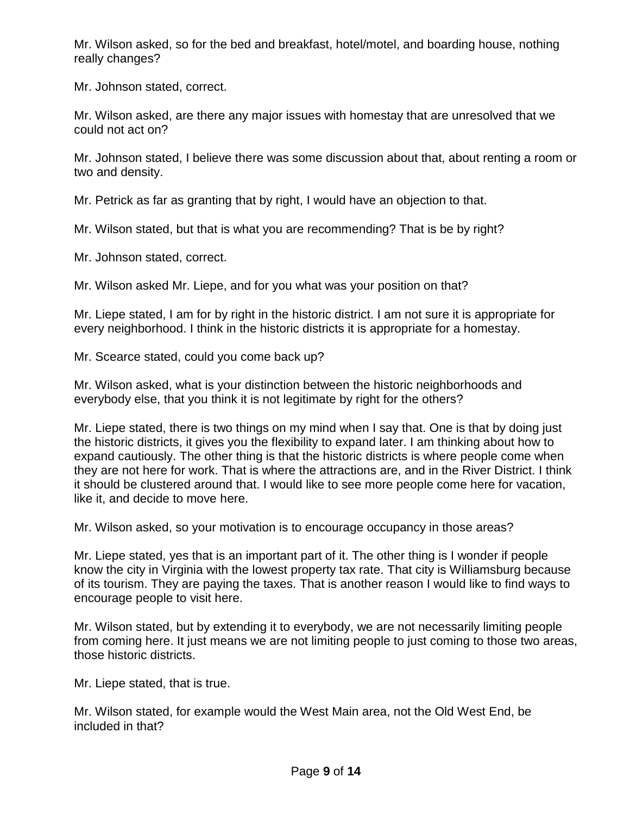Mr. Wilson asked, so for the bed and breakfast, hotel/motel, and boarding house, nothing really changes?

Mr. Johnson stated, correct.

Mr. Wilson asked, are there any major issues with homestay that are unresolved that we could not act on?

Mr. Johnson stated, I believe there was some discussion about that, about renting a room or two and density.

Mr. Petrick as far as granting that by right, I would have an objection to that.

Mr. Wilson stated, but that is what you are recommending? That is be by right?

Mr. Johnson stated, correct.

Mr. Wilson asked Mr. Liepe, and for you what was your position on that?

Mr. Liepe stated, I am for by right in the historic district. I am not sure it is appropriate for every neighborhood. I think in the historic districts it is appropriate for a homestay.

Mr. Scearce stated, could you come back up?

Mr. Wilson asked, what is your distinction between the historic neighborhoods and everybody else, that you think it is not legitimate by right for the others?

Mr. Liepe stated, there is two things on my mind when I say that. One is that by doing just the historic districts, it gives you the flexibility to expand later. I am thinking about how to expand cautiously. The other thing is that the historic districts is where people come when they are not here for work. That is where the attractions are, and in the River District. I think it should be clustered around that. I would like to see more people come here for vacation, like it, and decide to move here.

Mr. Wilson asked, so your motivation is to encourage occupancy in those areas?

Mr. Liepe stated, yes that is an important part of it. The other thing is I wonder if people know the city in Virginia with the lowest property tax rate. That city is Williamsburg because of its tourism. They are paying the taxes. That is another reason I would like to find ways to encourage people to visit here.

Mr. Wilson stated, but by extending it to everybody, we are not necessarily limiting people from coming here. It just means we are not limiting people to just coming to those two areas, those historic districts.

Mr. Liepe stated, that is true.

Mr. Wilson stated, for example would the West Main area, not the Old West End, be included in that?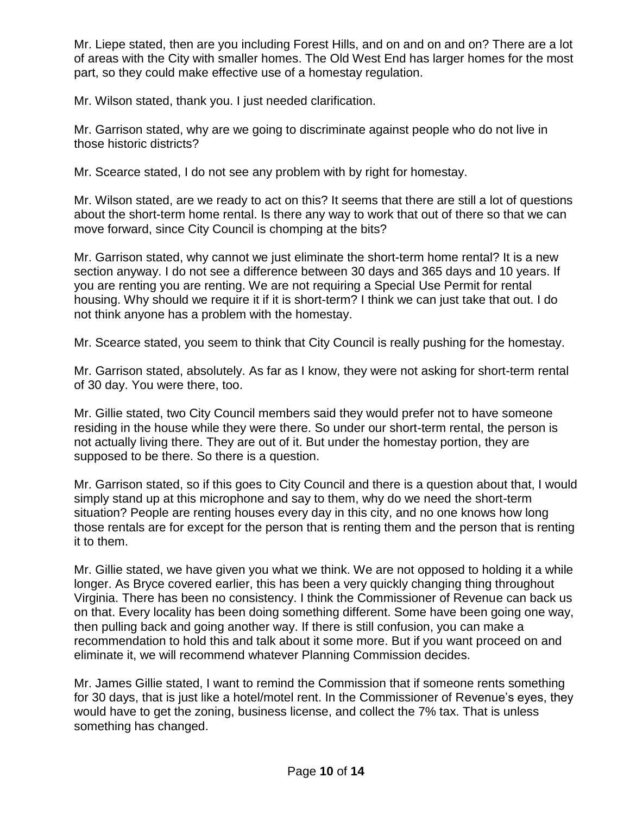Mr. Liepe stated, then are you including Forest Hills, and on and on and on? There are a lot of areas with the City with smaller homes. The Old West End has larger homes for the most part, so they could make effective use of a homestay regulation.

Mr. Wilson stated, thank you. I just needed clarification.

Mr. Garrison stated, why are we going to discriminate against people who do not live in those historic districts?

Mr. Scearce stated, I do not see any problem with by right for homestay.

Mr. Wilson stated, are we ready to act on this? It seems that there are still a lot of questions about the short-term home rental. Is there any way to work that out of there so that we can move forward, since City Council is chomping at the bits?

Mr. Garrison stated, why cannot we just eliminate the short-term home rental? It is a new section anyway. I do not see a difference between 30 days and 365 days and 10 years. If you are renting you are renting. We are not requiring a Special Use Permit for rental housing. Why should we require it if it is short-term? I think we can just take that out. I do not think anyone has a problem with the homestay.

Mr. Scearce stated, you seem to think that City Council is really pushing for the homestay.

Mr. Garrison stated, absolutely. As far as I know, they were not asking for short-term rental of 30 day. You were there, too.

Mr. Gillie stated, two City Council members said they would prefer not to have someone residing in the house while they were there. So under our short-term rental, the person is not actually living there. They are out of it. But under the homestay portion, they are supposed to be there. So there is a question.

Mr. Garrison stated, so if this goes to City Council and there is a question about that, I would simply stand up at this microphone and say to them, why do we need the short-term situation? People are renting houses every day in this city, and no one knows how long those rentals are for except for the person that is renting them and the person that is renting it to them.

Mr. Gillie stated, we have given you what we think. We are not opposed to holding it a while longer. As Bryce covered earlier, this has been a very quickly changing thing throughout Virginia. There has been no consistency. I think the Commissioner of Revenue can back us on that. Every locality has been doing something different. Some have been going one way, then pulling back and going another way. If there is still confusion, you can make a recommendation to hold this and talk about it some more. But if you want proceed on and eliminate it, we will recommend whatever Planning Commission decides.

Mr. James Gillie stated, I want to remind the Commission that if someone rents something for 30 days, that is just like a hotel/motel rent. In the Commissioner of Revenue's eyes, they would have to get the zoning, business license, and collect the 7% tax. That is unless something has changed.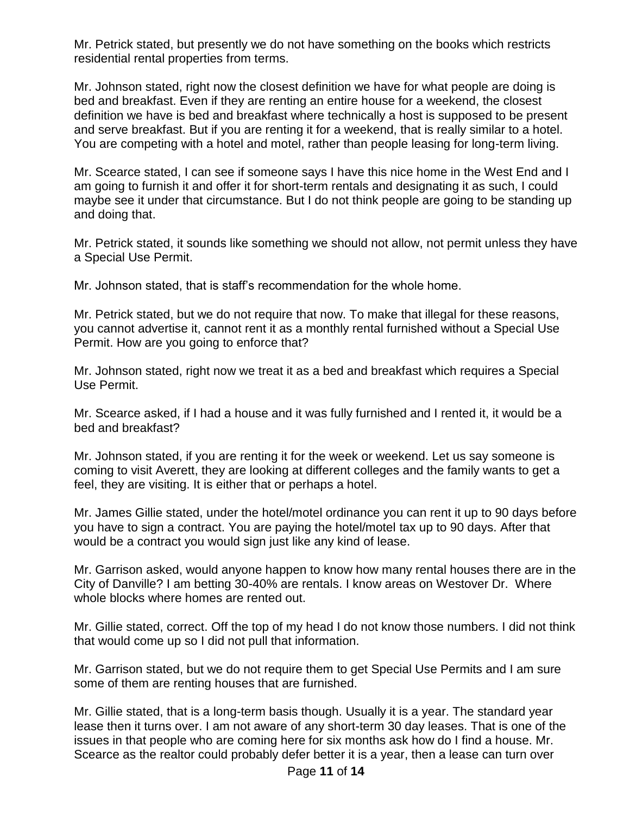Mr. Petrick stated, but presently we do not have something on the books which restricts residential rental properties from terms.

Mr. Johnson stated, right now the closest definition we have for what people are doing is bed and breakfast. Even if they are renting an entire house for a weekend, the closest definition we have is bed and breakfast where technically a host is supposed to be present and serve breakfast. But if you are renting it for a weekend, that is really similar to a hotel. You are competing with a hotel and motel, rather than people leasing for long-term living.

Mr. Scearce stated, I can see if someone says I have this nice home in the West End and I am going to furnish it and offer it for short-term rentals and designating it as such, I could maybe see it under that circumstance. But I do not think people are going to be standing up and doing that.

Mr. Petrick stated, it sounds like something we should not allow, not permit unless they have a Special Use Permit.

Mr. Johnson stated, that is staff's recommendation for the whole home.

Mr. Petrick stated, but we do not require that now. To make that illegal for these reasons, you cannot advertise it, cannot rent it as a monthly rental furnished without a Special Use Permit. How are you going to enforce that?

Mr. Johnson stated, right now we treat it as a bed and breakfast which requires a Special Use Permit.

Mr. Scearce asked, if I had a house and it was fully furnished and I rented it, it would be a bed and breakfast?

Mr. Johnson stated, if you are renting it for the week or weekend. Let us say someone is coming to visit Averett, they are looking at different colleges and the family wants to get a feel, they are visiting. It is either that or perhaps a hotel.

Mr. James Gillie stated, under the hotel/motel ordinance you can rent it up to 90 days before you have to sign a contract. You are paying the hotel/motel tax up to 90 days. After that would be a contract you would sign just like any kind of lease.

Mr. Garrison asked, would anyone happen to know how many rental houses there are in the City of Danville? I am betting 30-40% are rentals. I know areas on Westover Dr. Where whole blocks where homes are rented out.

Mr. Gillie stated, correct. Off the top of my head I do not know those numbers. I did not think that would come up so I did not pull that information.

Mr. Garrison stated, but we do not require them to get Special Use Permits and I am sure some of them are renting houses that are furnished.

Mr. Gillie stated, that is a long-term basis though. Usually it is a year. The standard year lease then it turns over. I am not aware of any short-term 30 day leases. That is one of the issues in that people who are coming here for six months ask how do I find a house. Mr. Scearce as the realtor could probably defer better it is a year, then a lease can turn over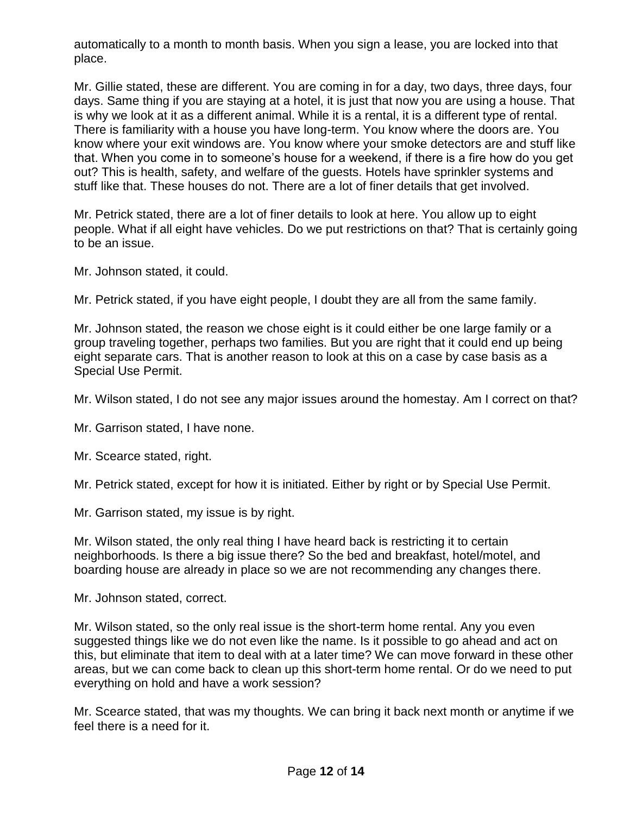automatically to a month to month basis. When you sign a lease, you are locked into that place.

Mr. Gillie stated, these are different. You are coming in for a day, two days, three days, four days. Same thing if you are staying at a hotel, it is just that now you are using a house. That is why we look at it as a different animal. While it is a rental, it is a different type of rental. There is familiarity with a house you have long-term. You know where the doors are. You know where your exit windows are. You know where your smoke detectors are and stuff like that. When you come in to someone's house for a weekend, if there is a fire how do you get out? This is health, safety, and welfare of the guests. Hotels have sprinkler systems and stuff like that. These houses do not. There are a lot of finer details that get involved.

Mr. Petrick stated, there are a lot of finer details to look at here. You allow up to eight people. What if all eight have vehicles. Do we put restrictions on that? That is certainly going to be an issue.

Mr. Johnson stated, it could.

Mr. Petrick stated, if you have eight people, I doubt they are all from the same family.

Mr. Johnson stated, the reason we chose eight is it could either be one large family or a group traveling together, perhaps two families. But you are right that it could end up being eight separate cars. That is another reason to look at this on a case by case basis as a Special Use Permit.

Mr. Wilson stated, I do not see any major issues around the homestay. Am I correct on that?

Mr. Garrison stated, I have none.

Mr. Scearce stated, right.

Mr. Petrick stated, except for how it is initiated. Either by right or by Special Use Permit.

Mr. Garrison stated, my issue is by right.

Mr. Wilson stated, the only real thing I have heard back is restricting it to certain neighborhoods. Is there a big issue there? So the bed and breakfast, hotel/motel, and boarding house are already in place so we are not recommending any changes there.

Mr. Johnson stated, correct.

Mr. Wilson stated, so the only real issue is the short-term home rental. Any you even suggested things like we do not even like the name. Is it possible to go ahead and act on this, but eliminate that item to deal with at a later time? We can move forward in these other areas, but we can come back to clean up this short-term home rental. Or do we need to put everything on hold and have a work session?

Mr. Scearce stated, that was my thoughts. We can bring it back next month or anytime if we feel there is a need for it.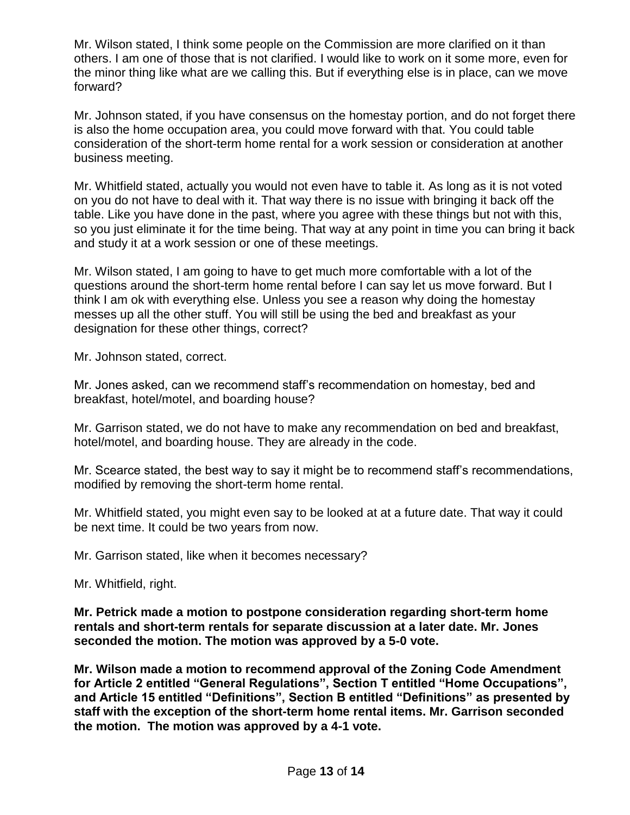Mr. Wilson stated, I think some people on the Commission are more clarified on it than others. I am one of those that is not clarified. I would like to work on it some more, even for the minor thing like what are we calling this. But if everything else is in place, can we move forward?

Mr. Johnson stated, if you have consensus on the homestay portion, and do not forget there is also the home occupation area, you could move forward with that. You could table consideration of the short-term home rental for a work session or consideration at another business meeting.

Mr. Whitfield stated, actually you would not even have to table it. As long as it is not voted on you do not have to deal with it. That way there is no issue with bringing it back off the table. Like you have done in the past, where you agree with these things but not with this, so you just eliminate it for the time being. That way at any point in time you can bring it back and study it at a work session or one of these meetings.

Mr. Wilson stated, I am going to have to get much more comfortable with a lot of the questions around the short-term home rental before I can say let us move forward. But I think I am ok with everything else. Unless you see a reason why doing the homestay messes up all the other stuff. You will still be using the bed and breakfast as your designation for these other things, correct?

Mr. Johnson stated, correct.

Mr. Jones asked, can we recommend staff's recommendation on homestay, bed and breakfast, hotel/motel, and boarding house?

Mr. Garrison stated, we do not have to make any recommendation on bed and breakfast, hotel/motel, and boarding house. They are already in the code.

Mr. Scearce stated, the best way to say it might be to recommend staff's recommendations, modified by removing the short-term home rental.

Mr. Whitfield stated, you might even say to be looked at at a future date. That way it could be next time. It could be two years from now.

Mr. Garrison stated, like when it becomes necessary?

Mr. Whitfield, right.

**Mr. Petrick made a motion to postpone consideration regarding short-term home rentals and short-term rentals for separate discussion at a later date. Mr. Jones seconded the motion. The motion was approved by a 5-0 vote.**

**Mr. Wilson made a motion to recommend approval of the Zoning Code Amendment for Article 2 entitled "General Regulations", Section T entitled "Home Occupations", and Article 15 entitled "Definitions", Section B entitled "Definitions" as presented by staff with the exception of the short-term home rental items. Mr. Garrison seconded the motion. The motion was approved by a 4-1 vote.**